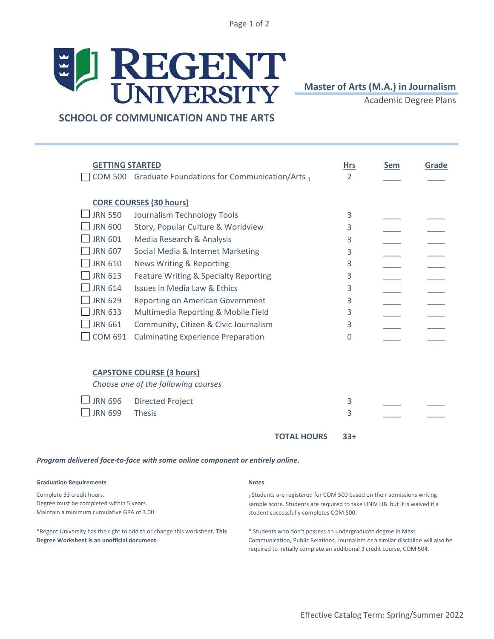Page 1 of 2

## ELI REGENT

**Master of Arts (M.A.) in Journalism** 

Academic Degree Plans

 **SCHOOL OF COMMUNICATION AND THE ARTS**

| <b>GETTING STARTED</b> | COM 500 Graduate Foundations for Communication/Arts 1 |                    | <b>Hrs</b><br>2 | <b>Sem</b> | Grade |
|------------------------|-------------------------------------------------------|--------------------|-----------------|------------|-------|
|                        | <b>CORE COURSES (30 hours)</b>                        |                    |                 |            |       |
| <b>JRN 550</b>         | Journalism Technology Tools                           |                    | 3               |            |       |
|                        |                                                       |                    |                 |            |       |
| <b>JRN 600</b>         | Story, Popular Culture & Worldview                    |                    | 3               |            |       |
| <b>JRN 601</b>         | Media Research & Analysis                             |                    | 3               |            |       |
| <b>JRN 607</b>         | Social Media & Internet Marketing                     |                    | 3               |            |       |
| <b>JRN 610</b>         | <b>News Writing &amp; Reporting</b>                   |                    | 3               |            |       |
| <b>JRN 613</b>         | Feature Writing & Specialty Reporting                 |                    | 3               |            |       |
| <b>JRN 614</b>         | <b>Issues in Media Law &amp; Ethics</b>               |                    | 3               |            |       |
| <b>JRN 629</b>         |                                                       |                    |                 |            |       |
|                        | <b>Reporting on American Government</b>               |                    | 3               |            |       |
| <b>JRN 633</b>         | Multimedia Reporting & Mobile Field                   |                    | 3               |            |       |
| <b>JRN 661</b>         | Community, Citizen & Civic Journalism                 |                    | 3               |            |       |
| <b>COM 691</b>         | <b>Culminating Experience Preparation</b>             |                    | $\Omega$        |            |       |
|                        |                                                       |                    |                 |            |       |
|                        | <b>CAPSTONE COURSE (3 hours)</b>                      |                    |                 |            |       |
|                        | Choose one of the following courses                   |                    |                 |            |       |
| <b>JRN 696</b>         | <b>Directed Project</b>                               |                    | 3               |            |       |
| <b>JRN 699</b>         | <b>Thesis</b>                                         |                    | 3               |            |       |
|                        |                                                       |                    |                 |            |       |
|                        |                                                       | <b>TOTAL HOURS</b> | $33+$           |            |       |

*Program delivered face-to-face with some online component or entirely online.*

| <b>Graduation Requirements</b> | <b>Notes</b> |
|--------------------------------|--------------|
|--------------------------------|--------------|

Complete 33 credit hours. Degree must be completed within 5 years. Maintain a minimum cumulative GPA of 3.00

1 Students are registered for COM 500 based on their admissions writing sample score. Students are required to take UNIV LIB but it is waived if a student successfully completes COM 500.

\*Regent University has the right to add to or change this worksheet. **This Degree Worksheet is an unofficial document.**

\* Students who don't possess an undergraduate degree in Mass Communication, Public Relations, Journalism or a similar discipline will also be required to initially complete an additional 3 credit course, COM 504.